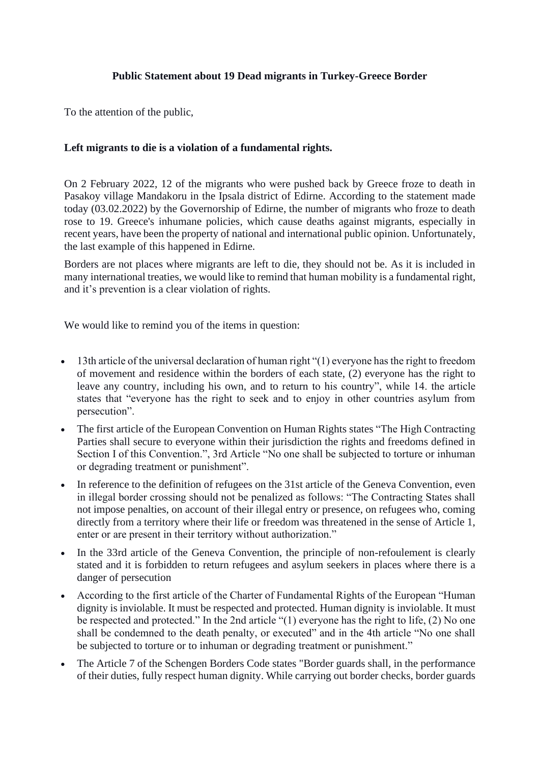## **Public Statement about 19 Dead migrants in Turkey-Greece Border**

To the attention of the public,

## **Left migrants to die is a violation of a fundamental rights.**

On 2 February 2022, 12 of the migrants who were pushed back by Greece froze to death in Pasakoy village Mandakoru in the Ipsala district of Edirne. According to the statement made today (03.02.2022) by the Governorship of Edirne, the number of migrants who froze to death rose to 19. Greece's inhumane policies, which cause deaths against migrants, especially in recent years, have been the property of national and international public opinion. Unfortunately, the last example of this happened in Edirne.

Borders are not places where migrants are left to die, they should not be. As it is included in many international treaties, we would like to remind that human mobility is a fundamental right, and it's prevention is a clear violation of rights.

We would like to remind you of the items in question:

- 13th article of the universal declaration of human right "(1) everyone has the right to freedom of movement and residence within the borders of each state, (2) everyone has the right to leave any country, including his own, and to return to his country", while 14. the article states that "everyone has the right to seek and to enjoy in other countries asylum from persecution".
- The first article of the European Convention on Human Rights states "The High Contracting Parties shall secure to everyone within their jurisdiction the rights and freedoms defined in Section I of this Convention.", 3rd Article "No one shall be subjected to torture or inhuman or degrading treatment or punishment".
- In reference to the definition of refugees on the 31st article of the Geneva Convention, even in illegal border crossing should not be penalized as follows: "The Contracting States shall not impose penalties, on account of their illegal entry or presence, on refugees who, coming directly from a territory where their life or freedom was threatened in the sense of Article 1, enter or are present in their territory without authorization."
- In the 33rd article of the Geneva Convention, the principle of non-refoulement is clearly stated and it is forbidden to return refugees and asylum seekers in places where there is a danger of persecution
- According to the first article of the Charter of Fundamental Rights of the European "Human dignity is inviolable. It must be respected and protected. Human dignity is inviolable. It must be respected and protected." In the 2nd article "(1) everyone has the right to life, (2) No one shall be condemned to the death penalty, or executed" and in the 4th article "No one shall be subjected to torture or to inhuman or degrading treatment or punishment."
- The Article 7 of the Schengen Borders Code states "Border guards shall, in the performance of their duties, fully respect human dignity. While carrying out border checks, border guards